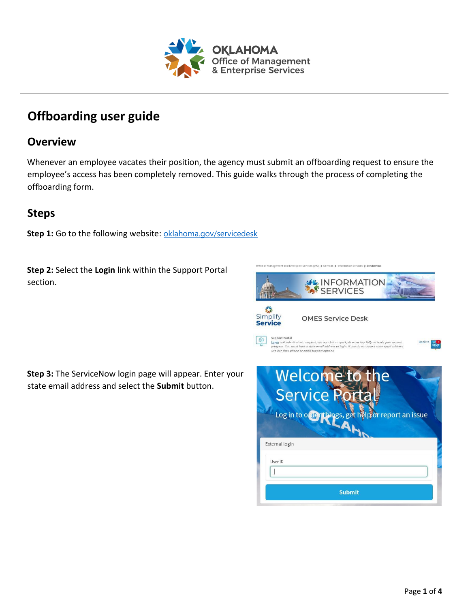

## **Offboarding user guide**

## **Overview**

Whenever an employee vacates their position, the agency must submit an offboarding request to ensure the employee's access has been completely removed. This guide walks through the process of completing the offboarding form.

## **Steps**

Step 1: Go to the following website: [oklahoma.gov/servicedesk](https://oklahoma.gov/servicedesk)

**Step 2:** Select the **Login** link within the Support Portal section.

**Step 3:** The ServiceNow login page will appear. Enter your state email address and select the **Submit** button.

| <b>SACINFORMATION</b>                                                                                                                                                                                                                                                                           |
|-------------------------------------------------------------------------------------------------------------------------------------------------------------------------------------------------------------------------------------------------------------------------------------------------|
| Simplify<br><b>OMES Service Desk</b><br><b>Service</b>                                                                                                                                                                                                                                          |
| <b>Support Portal</b><br><b>Back to</b><br>Login and submit a help request, use our chat support, view our top FAQs or track your request<br>progress. You must have a state email address to login. If you do not have a state email address,<br>use our chat, phone or email support options. |
| Welcome to<br>e<br><b>Service P</b><br>Log in to offer things, get helpfor report an issue                                                                                                                                                                                                      |
| <b>External login</b>                                                                                                                                                                                                                                                                           |
| User ID                                                                                                                                                                                                                                                                                         |
| <b>Submit</b>                                                                                                                                                                                                                                                                                   |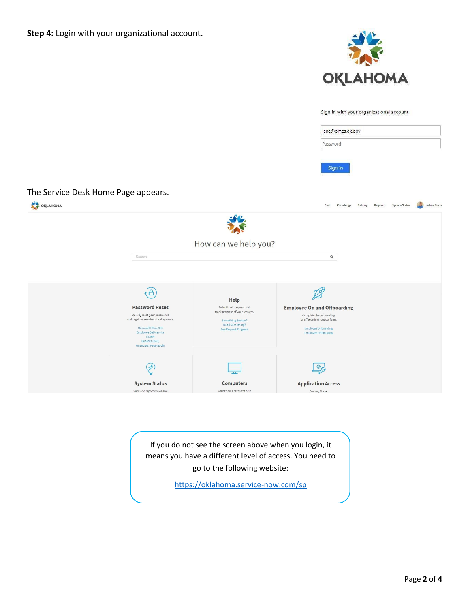



Sign in with your organizational account

|                                     |                                                                |                                                            | jane@omes.ok.gov                                              |                        |              |
|-------------------------------------|----------------------------------------------------------------|------------------------------------------------------------|---------------------------------------------------------------|------------------------|--------------|
|                                     |                                                                |                                                            |                                                               |                        |              |
|                                     |                                                                |                                                            | Password                                                      |                        |              |
|                                     |                                                                |                                                            | Sign in                                                       |                        |              |
|                                     |                                                                |                                                            |                                                               |                        |              |
| The Service Desk Home Page appears. |                                                                |                                                            |                                                               |                        |              |
|                                     |                                                                |                                                            | Chat<br>Knowledge                                             | Catalog                | Joshua Grave |
| OKLAHOMA                            |                                                                |                                                            |                                                               | Requests System Status |              |
|                                     |                                                                |                                                            |                                                               |                        |              |
|                                     |                                                                | How can we help you?                                       |                                                               |                        |              |
|                                     | Search                                                         |                                                            | $\alpha$                                                      |                        |              |
|                                     |                                                                |                                                            |                                                               |                        |              |
|                                     |                                                                |                                                            |                                                               |                        |              |
|                                     | $\triangle$                                                    |                                                            | D                                                             |                        |              |
|                                     |                                                                | <b>Help</b>                                                |                                                               |                        |              |
|                                     | <b>Password Reset</b><br>Quickly reset your passwords          | Submit help request and<br>track progress of your request. | <b>Employee On and Offboarding</b><br>Complete the onboarding |                        |              |
|                                     | and regain access to critical systems.<br>Microsoft Office 365 | Something Broken?<br>Need Something?                       | or offboarding request form.<br><b>Employee Onboarding</b>    |                        |              |
|                                     | Employee Self-service<br>LEARN                                 | See Request Progress                                       | <b>Employee Offboarding</b>                                   |                        |              |
|                                     | Benefits (BAS)<br>Financials (PeopleSoft)                      |                                                            |                                                               |                        |              |
|                                     |                                                                |                                                            |                                                               |                        |              |
|                                     | $\boldsymbol{\beta}$                                           |                                                            | හි                                                            |                        |              |
|                                     |                                                                | <b>Computers</b>                                           | <b>Application Access</b>                                     |                        |              |
|                                     | <b>System Status</b>                                           |                                                            |                                                               |                        |              |

If you do not see the screen above when you login, it means you have a different level of access. You need to go to the following website:

<https://oklahoma.service-now.com/sp>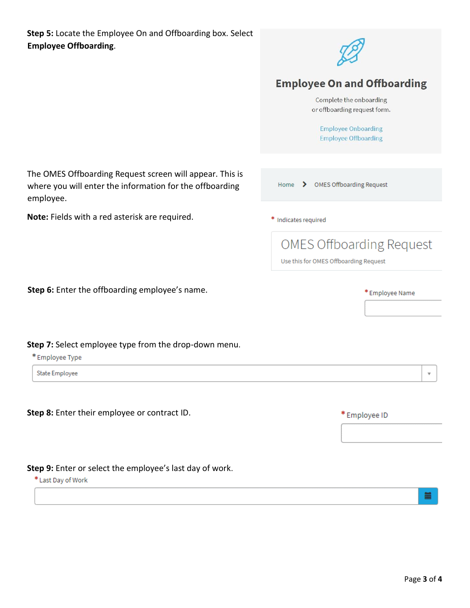

## **Employee On and Offboarding**

Complete the onboarding or offboarding request form.

**Employee Onboarding Employee Offboarding** 

The OMES Offboarding Request screen will appear. This is where you will enter the information for the offboarding employee.

**Note:** Fields with a red asterisk are required.

|  | Home > OMES Offboarding Request |
|--|---------------------------------|
|  |                                 |

\* Indicates required

**OMES Offboarding Request** 

Use this for OMES Offboarding Request

**Step 6:** Enter the offboarding employee's name.

**Step 7:** Select employee type from the drop-down menu.

\* Employee Type

State Employee

**Step 8:** Enter their employee or contract ID.

**Step 9:** Enter or select the employee's last day of work.

\* Last Day of Work

\* Employee ID

\* Employee Name

萹

 $\overline{\mathbf{v}}$